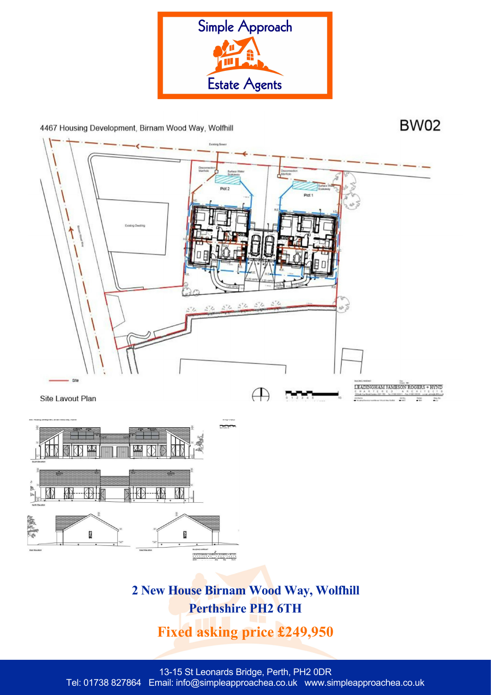

4467 Housing Development, Birnam Wood Way, Wolfhill

**BW02** 



**Perthshire PH2 6TH**

**Fixed asking price £249,950**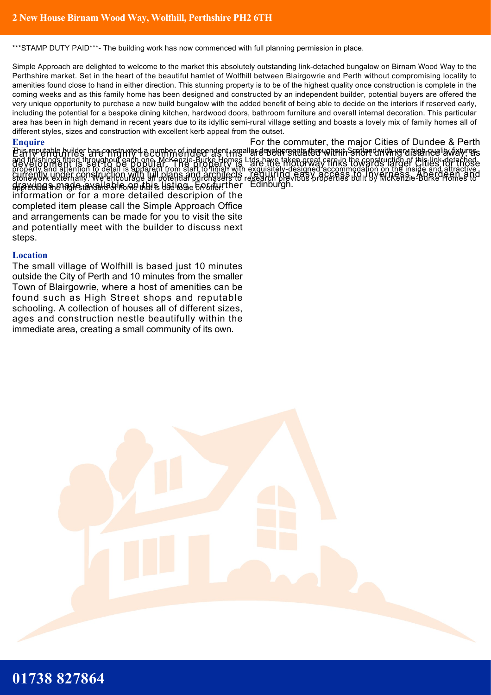\*\*\*STAMP DUTY PAID\*\*\*- The building work has now commenced with full planning permission in place.

Simple Approach are delighted to welcome to the market this absolutely outstanding link-detached bungalow on Birnam Wood Way to the Perthshire market. Set in the heart of the beautiful hamlet of Wolfhill between Blairgowrie and Perth without compromising locality to amenities found close to hand in either direction. This stunning property is to be of the highest quality once construction is complete in the coming weeks and as this family home has been designed and constructed by an independent builder, potential buyers are offered the very unique opportunity to purchase a new build bungalow with the added benefit of being able to decide on the interiors if reserved early, including the potential for a bespoke dining kitchen, hardwood doors, bathroom furniture and overall internal decoration. This particular area has been in high demand in recent years due to its idyllic semi-rural village setting and boasts a lovely mix of family homes all of different styles, sizes and construction with excellent kerb appeal from the outset.

## **Enquire**

En fepulable builder base onstructed a europp of independent regaller development a tero with the spillar dwith regulation and is way. and finishings fitted throughout each one. McKenzie-Burke Homes Ltds have taken great care in the construction of this link-detached property and attention to detail is apparent from start to finish with exquisitely-designed accommodation on the inside and attractive stonework externally. We encourage all potential purchasers to research previous properties built by McKenzie-Burke Homes to appreciate the high standard of home that is due to be on offer. drawings made available on this listing. For further Edinburgh. development is set to be popular. The property is currently under construction with full plans and architects information or for a more detailed descripion of the completed item please call the Simple Approach Office and arrangements can be made for you to visit the site and potentially meet with the builder to discuss next steps.

## **Location**

The small village of Wolfhill is based just 10 minutes outside the City of Perth and 10 minutes from the smaller Town of Blairgowrie, where a host of amenities can be found such as High Street shops and reputable schooling. A collection of houses all of different sizes, ages and construction nestle beautifully within the immediate area, creating a small community of its own.

For the commuter, the major Cities of Dundee & Perth are the motorway links towards larger Cities for those requiring easy access to Inverness, Aberdeen and

## **01738 827864**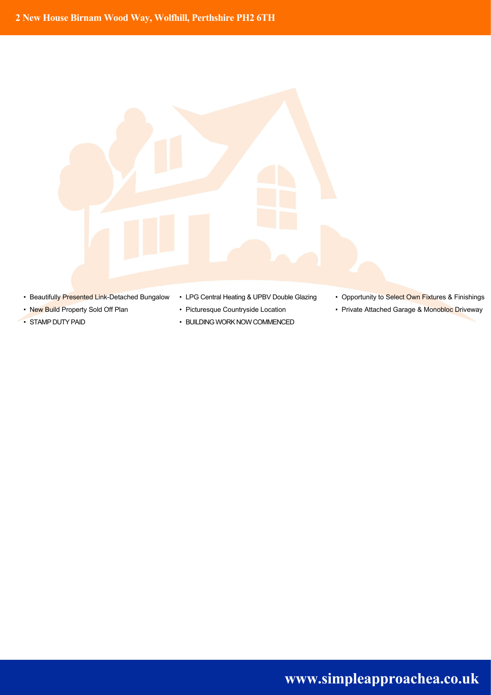

- 
- 
- 
- Beautifully Presented Link-Detached Bungalow LPG Central Heating & UPBV Double Glazing Opportunity to Select Own Fixtures & Finishings
	-
- STAMP DUTY PAID BUILDING WORK NOW COMMENCED
- 
- New Build Property Sold Off Plan Picturesque Countryside Location Private Attached Garage & Monobloc Driveway